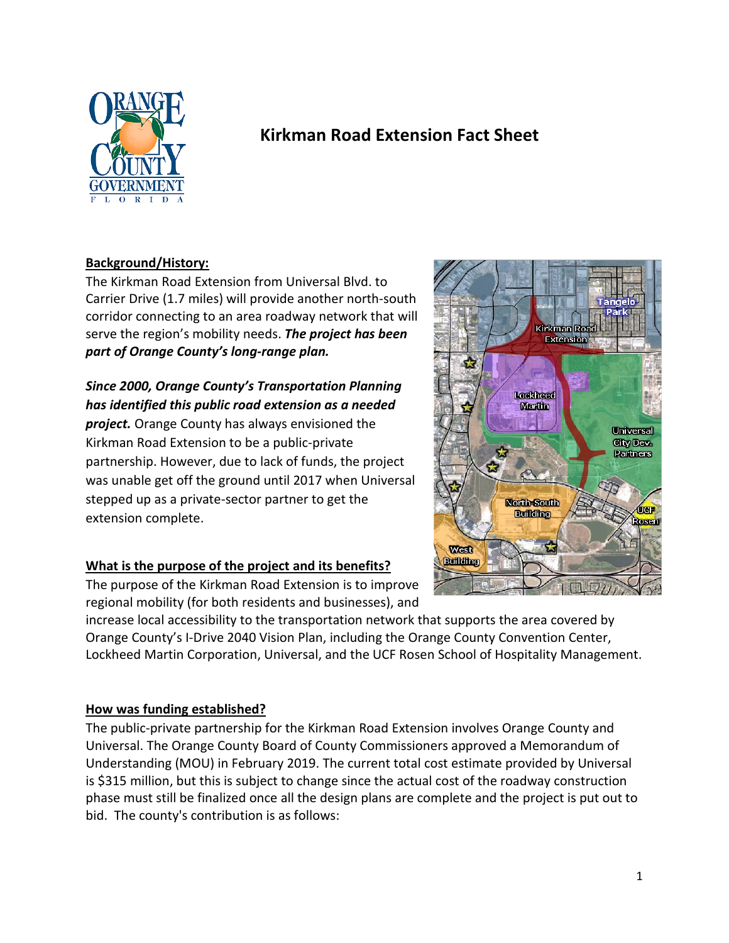

# **Kirkman Road Extension Fact Sheet**

### **Background/History:**

The Kirkman Road Extension from Universal Blvd. to Carrier Drive (1.7 miles) will provide another north-south corridor connecting to an area roadway network that will serve the region's mobility needs. *The project has been part of Orange County's long-range plan.*

# *Since 2000, Orange County's Transportation Planning has identified this public road extension as a needed*

*project.* Orange County has always envisioned the Kirkman Road Extension to be a public-private partnership. However, due to lack of funds, the project was unable get off the ground until 2017 when Universal stepped up as a private-sector partner to get the extension complete.

# **What is the purpose of the project and its benefits?**

The purpose of the Kirkman Road Extension is to improve regional mobility (for both residents and businesses), and

increase local accessibility to the transportation network that supports the area covered by Orange County's I-Drive 2040 Vision Plan, including the Orange County Convention Center, Lockheed Martin Corporation, Universal, and the UCF Rosen School of Hospitality Management.

# **How was funding established?**

The public-private partnership for the Kirkman Road Extension involves Orange County and Universal. The Orange County Board of County Commissioners approved a Memorandum of Understanding (MOU) in February 2019. The current total cost estimate provided by Universal is \$315 million, but this is subject to change since the actual cost of the roadway construction phase must still be finalized once all the design plans are complete and the project is put out to bid. The county's contribution is as follows:

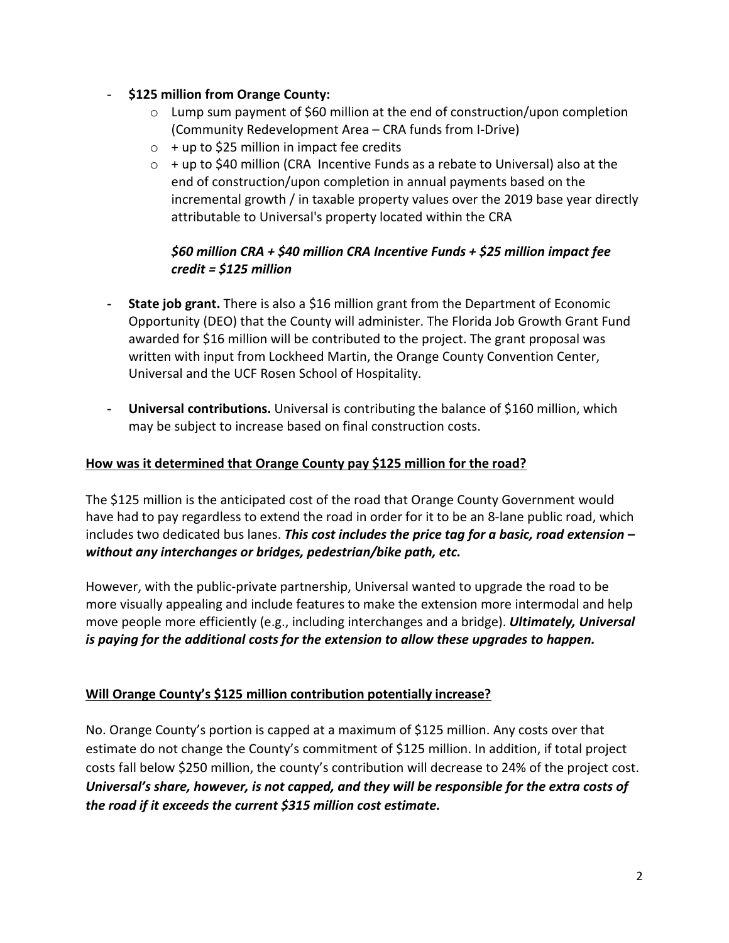#### - **\$125 million from Orange County:**

- $\circ$  Lump sum payment of \$60 million at the end of construction/upon completion (Community Redevelopment Area – CRA funds from I-Drive)
- $\circ$  + up to \$25 million in impact fee credits
- $\circ$  + up to \$40 million (CRA Incentive Funds as a rebate to Universal) also at the end of construction/upon completion in annual payments based on the incremental growth / in taxable property values over the 2019 base year directly attributable to Universal's property located within the CRA

## *\$60 million CRA + \$40 million CRA Incentive Funds + \$25 million impact fee credit = \$125 million*

- **State job grant.** There is also a \$16 million grant from the Department of Economic Opportunity (DEO) that the County will administer. The Florida Job Growth Grant Fund awarded for \$16 million will be contributed to the project. The grant proposal was written with input from Lockheed Martin, the Orange County Convention Center, Universal and the UCF Rosen School of Hospitality.
- **Universal contributions.** Universal is contributing the balance of \$160 million, which may be subject to increase based on final construction costs.

### **How was it determined that Orange County pay \$125 million for the road?**

The \$125 million is the anticipated cost of the road that Orange County Government would have had to pay regardless to extend the road in order for it to be an 8-lane public road, which includes two dedicated bus lanes. *This cost includes the price tag for a basic, road extension – without any interchanges or bridges, pedestrian/bike path, etc.* 

However, with the public-private partnership, Universal wanted to upgrade the road to be more visually appealing and include features to make the extension more intermodal and help move people more efficiently (e.g., including interchanges and a bridge). *Ultimately, Universal is paying for the additional costs for the extension to allow these upgrades to happen.* 

## **Will Orange County's \$125 million contribution potentially increase?**

No. Orange County's portion is capped at a maximum of \$125 million. Any costs over that estimate do not change the County's commitment of \$125 million. In addition, if total project costs fall below \$250 million, the county's contribution will decrease to 24% of the project cost. *Universal's share, however, is not capped, and they will be responsible for the extra costs of the road if it exceeds the current \$315 million cost estimate.*